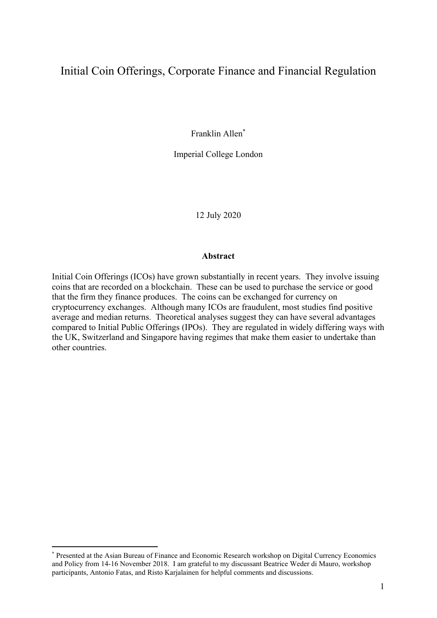# Initial Coin Offerings, Corporate Finance and Financial Regulation

Franklin Allen\*

Imperial College London

12 July 2020

#### **Abstract**

Initial Coin Offerings (ICOs) have grown substantially in recent years. They involve issuing coins that are recorded on a blockchain. These can be used to purchase the service or good that the firm they finance produces. The coins can be exchanged for currency on cryptocurrency exchanges. Although many ICOs are fraudulent, most studies find positive average and median returns. Theoretical analyses suggest they can have several advantages compared to Initial Public Offerings (IPOs). They are regulated in widely differing ways with the UK, Switzerland and Singapore having regimes that make them easier to undertake than other countries.

<sup>\*</sup> Presented at the Asian Bureau of Finance and Economic Research workshop on Digital Currency Economics and Policy from 14-16 November 2018. I am grateful to my discussant Beatrice Weder di Mauro, workshop participants, Antonio Fatas, and Risto Karjalainen for helpful comments and discussions.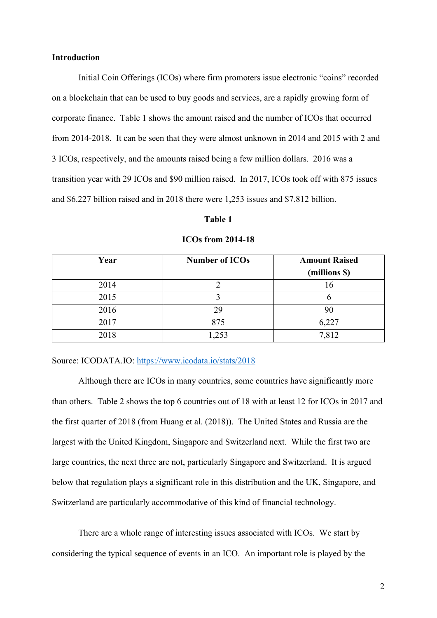# **Introduction**

Initial Coin Offerings (ICOs) where firm promoters issue electronic "coins" recorded on a blockchain that can be used to buy goods and services, are a rapidly growing form of corporate finance. Table 1 shows the amount raised and the number of ICOs that occurred from 2014-2018. It can be seen that they were almost unknown in 2014 and 2015 with 2 and 3 ICOs, respectively, and the amounts raised being a few million dollars. 2016 was a transition year with 29 ICOs and \$90 million raised. In 2017, ICOs took off with 875 issues and \$6.227 billion raised and in 2018 there were 1,253 issues and \$7.812 billion.

#### **Table 1**

| Year | <b>Number of ICOs</b> | <b>Amount Raised</b> |
|------|-----------------------|----------------------|
|      |                       | (millions \$)        |
| 2014 |                       | 16                   |
| 2015 |                       |                      |
| 2016 | 29                    | 90                   |
| 2017 | 875                   | 6,227                |
| 2018 | ,253                  | 7,812                |

#### **ICOs from 2014-18**

# Source: ICODATA.IO: https://www.icodata.io/stats/2018

 Although there are ICOs in many countries, some countries have significantly more than others. Table 2 shows the top 6 countries out of 18 with at least 12 for ICOs in 2017 and the first quarter of 2018 (from Huang et al. (2018)). The United States and Russia are the largest with the United Kingdom, Singapore and Switzerland next. While the first two are large countries, the next three are not, particularly Singapore and Switzerland. It is argued below that regulation plays a significant role in this distribution and the UK, Singapore, and Switzerland are particularly accommodative of this kind of financial technology.

There are a whole range of interesting issues associated with ICOs. We start by considering the typical sequence of events in an ICO. An important role is played by the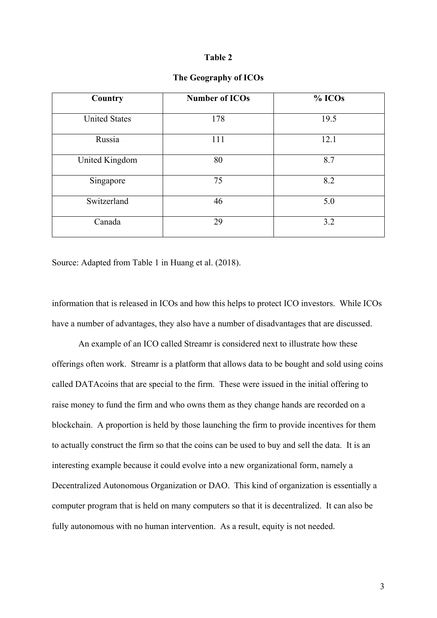#### **Table 2**

| Country              | <b>Number of ICOs</b> | % ICOs |
|----------------------|-----------------------|--------|
| <b>United States</b> | 178                   | 19.5   |
| Russia               | 111                   | 12.1   |
| United Kingdom       | 80                    | 8.7    |
| Singapore            | 75                    | 8.2    |
| Switzerland          | 46                    | 5.0    |
| Canada               | 29                    | 3.2    |

# **The Geography of ICOs**

Source: Adapted from Table 1 in Huang et al. (2018).

information that is released in ICOs and how this helps to protect ICO investors. While ICOs have a number of advantages, they also have a number of disadvantages that are discussed.

An example of an ICO called Streamr is considered next to illustrate how these offerings often work. Streamr is a platform that allows data to be bought and sold using coins called DATAcoins that are special to the firm. These were issued in the initial offering to raise money to fund the firm and who owns them as they change hands are recorded on a blockchain. A proportion is held by those launching the firm to provide incentives for them to actually construct the firm so that the coins can be used to buy and sell the data. It is an interesting example because it could evolve into a new organizational form, namely a Decentralized Autonomous Organization or DAO. This kind of organization is essentially a computer program that is held on many computers so that it is decentralized. It can also be fully autonomous with no human intervention. As a result, equity is not needed.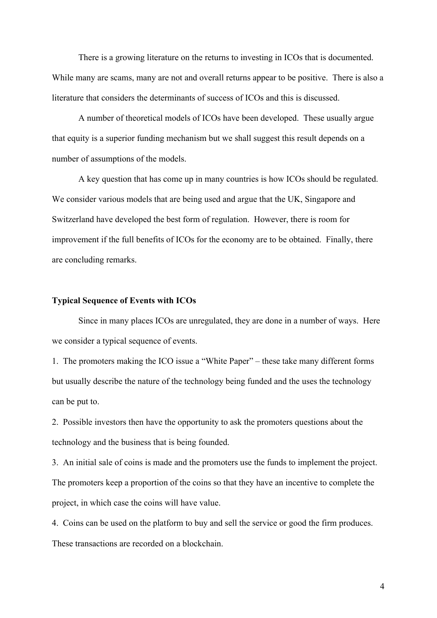There is a growing literature on the returns to investing in ICOs that is documented. While many are scams, many are not and overall returns appear to be positive. There is also a literature that considers the determinants of success of ICOs and this is discussed.

 A number of theoretical models of ICOs have been developed. These usually argue that equity is a superior funding mechanism but we shall suggest this result depends on a number of assumptions of the models.

 A key question that has come up in many countries is how ICOs should be regulated. We consider various models that are being used and argue that the UK, Singapore and Switzerland have developed the best form of regulation. However, there is room for improvement if the full benefits of ICOs for the economy are to be obtained. Finally, there are concluding remarks.

#### **Typical Sequence of Events with ICOs**

Since in many places ICOs are unregulated, they are done in a number of ways. Here we consider a typical sequence of events.

1. The promoters making the ICO issue a "White Paper" – these take many different forms but usually describe the nature of the technology being funded and the uses the technology can be put to.

2. Possible investors then have the opportunity to ask the promoters questions about the technology and the business that is being founded.

3. An initial sale of coins is made and the promoters use the funds to implement the project. The promoters keep a proportion of the coins so that they have an incentive to complete the project, in which case the coins will have value.

4. Coins can be used on the platform to buy and sell the service or good the firm produces. These transactions are recorded on a blockchain.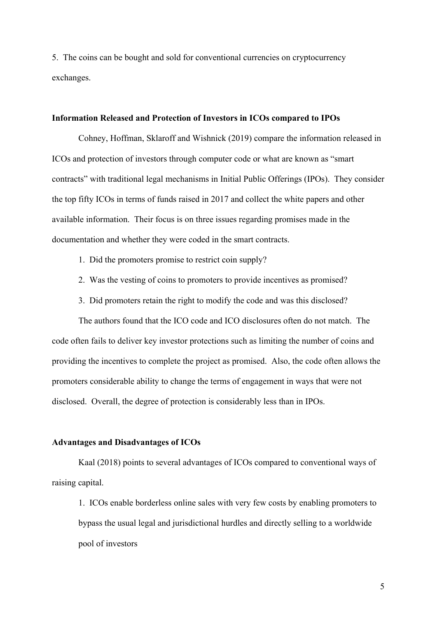5. The coins can be bought and sold for conventional currencies on cryptocurrency exchanges.

### **Information Released and Protection of Investors in ICOs compared to IPOs**

Cohney, Hoffman, Sklaroff and Wishnick (2019) compare the information released in ICOs and protection of investors through computer code or what are known as "smart contracts" with traditional legal mechanisms in Initial Public Offerings (IPOs). They consider the top fifty ICOs in terms of funds raised in 2017 and collect the white papers and other available information. Their focus is on three issues regarding promises made in the documentation and whether they were coded in the smart contracts.

- 1. Did the promoters promise to restrict coin supply?
- 2. Was the vesting of coins to promoters to provide incentives as promised?
- 3. Did promoters retain the right to modify the code and was this disclosed?

The authors found that the ICO code and ICO disclosures often do not match. The code often fails to deliver key investor protections such as limiting the number of coins and providing the incentives to complete the project as promised. Also, the code often allows the promoters considerable ability to change the terms of engagement in ways that were not disclosed. Overall, the degree of protection is considerably less than in IPOs.

#### **Advantages and Disadvantages of ICOs**

Kaal (2018) points to several advantages of ICOs compared to conventional ways of raising capital.

1. ICOs enable borderless online sales with very few costs by enabling promoters to bypass the usual legal and jurisdictional hurdles and directly selling to a worldwide pool of investors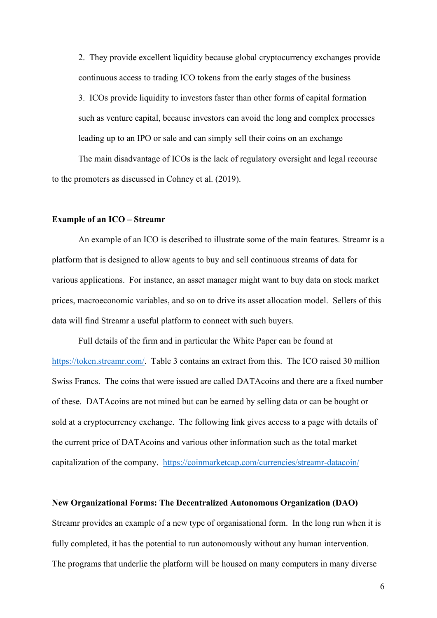2. They provide excellent liquidity because global cryptocurrency exchanges provide continuous access to trading ICO tokens from the early stages of the business

3. ICOs provide liquidity to investors faster than other forms of capital formation such as venture capital, because investors can avoid the long and complex processes leading up to an IPO or sale and can simply sell their coins on an exchange

The main disadvantage of ICOs is the lack of regulatory oversight and legal recourse to the promoters as discussed in Cohney et al. (2019).

#### **Example of an ICO – Streamr**

 An example of an ICO is described to illustrate some of the main features. Streamr is a platform that is designed to allow agents to buy and sell continuous streams of data for various applications. For instance, an asset manager might want to buy data on stock market prices, macroeconomic variables, and so on to drive its asset allocation model. Sellers of this data will find Streamr a useful platform to connect with such buyers.

 Full details of the firm and in particular the White Paper can be found at https://token.streamr.com/. Table 3 contains an extract from this. The ICO raised 30 million Swiss Francs. The coins that were issued are called DATAcoins and there are a fixed number of these. DATAcoins are not mined but can be earned by selling data or can be bought or sold at a cryptocurrency exchange. The following link gives access to a page with details of the current price of DATAcoins and various other information such as the total market capitalization of the company. https://coinmarketcap.com/currencies/streamr-datacoin/

#### **New Organizational Forms: The Decentralized Autonomous Organization (DAO)**

Streamr provides an example of a new type of organisational form. In the long run when it is fully completed, it has the potential to run autonomously without any human intervention. The programs that underlie the platform will be housed on many computers in many diverse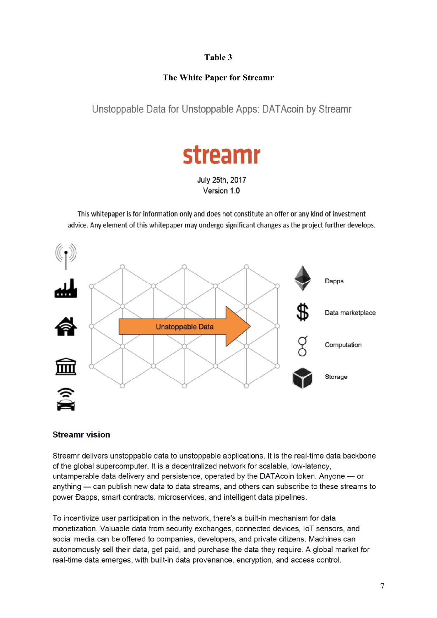# **Table 3**

# **The White Paper for Streamr**

Unstoppable Data for Unstoppable Apps: DATAcoin by Streamr



July 25th, 2017 Version 1.0

This whitepaper is for information only and does not constitute an offer or any kind of investment advice. Any element of this whitepaper may undergo significant changes as the project further develops.



# **Streamr vision**

Streamr delivers unstoppable data to unstoppable applications. It is the real-time data backbone of the global supercomputer. It is a decentralized network for scalable, low-latency. untamperable data delivery and persistence, operated by the DATAcoin token. Anyone — or anything — can publish new data to data streams, and others can subscribe to these streams to power Đapps, smart contracts, microservices, and intelligent data pipelines.

To incentivize user participation in the network, there's a built-in mechanism for data monetization. Valuable data from security exchanges, connected devices, IoT sensors, and social media can be offered to companies, developers, and private citizens. Machines can autonomously sell their data, get paid, and purchase the data they require. A global market for real-time data emerges, with built-in data provenance, encryption, and access control.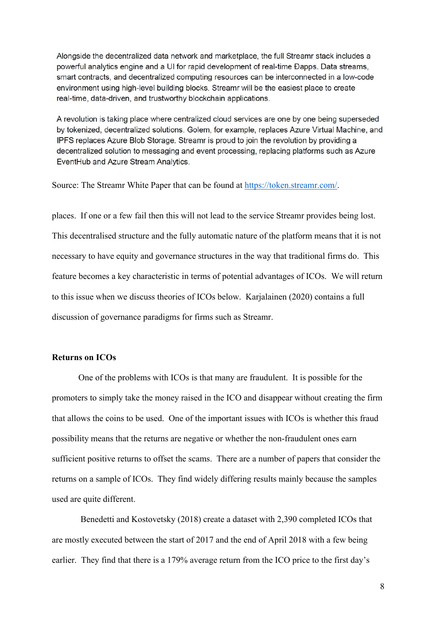Alongside the decentralized data network and marketplace, the full Streamr stack includes a powerful analytics engine and a UI for rapid development of real-time Đapps. Data streams, smart contracts, and decentralized computing resources can be interconnected in a low-code environment using high-level building blocks. Streamr will be the easiest place to create real-time, data-driven, and trustworthy blockchain applications.

A revolution is taking place where centralized cloud services are one by one being superseded by tokenized, decentralized solutions. Golem, for example, replaces Azure Virtual Machine, and IPFS replaces Azure Blob Storage. Streamr is proud to join the revolution by providing a decentralized solution to messaging and event processing, replacing platforms such as Azure EventHub and Azure Stream Analytics.

Source: The Streamr White Paper that can be found at https://token.streamr.com/.

places. If one or a few fail then this will not lead to the service Streamr provides being lost. This decentralised structure and the fully automatic nature of the platform means that it is not necessary to have equity and governance structures in the way that traditional firms do. This feature becomes a key characteristic in terms of potential advantages of ICOs. We will return to this issue when we discuss theories of ICOs below. Karjalainen (2020) contains a full discussion of governance paradigms for firms such as Streamr.

# **Returns on ICOs**

 One of the problems with ICOs is that many are fraudulent. It is possible for the promoters to simply take the money raised in the ICO and disappear without creating the firm that allows the coins to be used. One of the important issues with ICOs is whether this fraud possibility means that the returns are negative or whether the non-fraudulent ones earn sufficient positive returns to offset the scams. There are a number of papers that consider the returns on a sample of ICOs. They find widely differing results mainly because the samples used are quite different.

 Benedetti and Kostovetsky (2018) create a dataset with 2,390 completed ICOs that are mostly executed between the start of 2017 and the end of April 2018 with a few being earlier. They find that there is a 179% average return from the ICO price to the first day's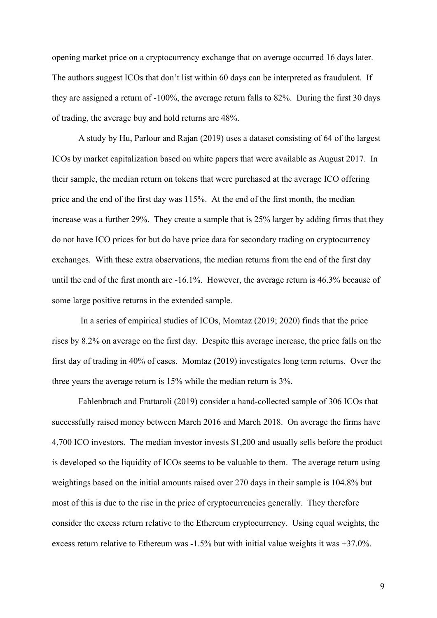opening market price on a cryptocurrency exchange that on average occurred 16 days later. The authors suggest ICOs that don't list within 60 days can be interpreted as fraudulent. If they are assigned a return of -100%, the average return falls to 82%. During the first 30 days of trading, the average buy and hold returns are 48%.

 A study by Hu, Parlour and Rajan (2019) uses a dataset consisting of 64 of the largest ICOs by market capitalization based on white papers that were available as August 2017. In their sample, the median return on tokens that were purchased at the average ICO offering price and the end of the first day was 115%. At the end of the first month, the median increase was a further 29%. They create a sample that is 25% larger by adding firms that they do not have ICO prices for but do have price data for secondary trading on cryptocurrency exchanges. With these extra observations, the median returns from the end of the first day until the end of the first month are -16.1%. However, the average return is 46.3% because of some large positive returns in the extended sample.

 In a series of empirical studies of ICOs, Momtaz (2019; 2020) finds that the price rises by 8.2% on average on the first day. Despite this average increase, the price falls on the first day of trading in 40% of cases. Momtaz (2019) investigates long term returns. Over the three years the average return is 15% while the median return is 3%.

 Fahlenbrach and Frattaroli (2019) consider a hand-collected sample of 306 ICOs that successfully raised money between March 2016 and March 2018. On average the firms have 4,700 ICO investors. The median investor invests \$1,200 and usually sells before the product is developed so the liquidity of ICOs seems to be valuable to them. The average return using weightings based on the initial amounts raised over 270 days in their sample is 104.8% but most of this is due to the rise in the price of cryptocurrencies generally. They therefore consider the excess return relative to the Ethereum cryptocurrency. Using equal weights, the excess return relative to Ethereum was -1.5% but with initial value weights it was +37.0%.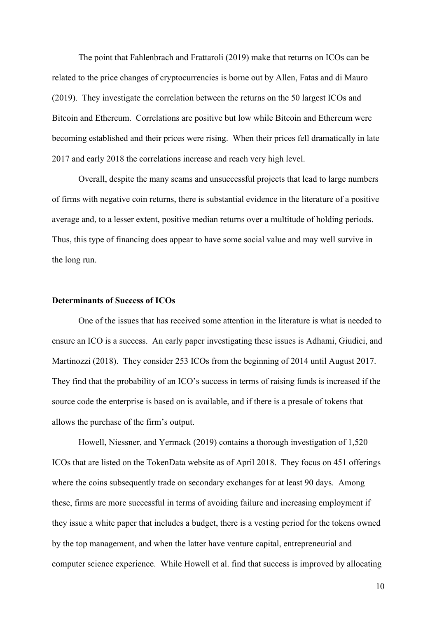The point that Fahlenbrach and Frattaroli (2019) make that returns on ICOs can be related to the price changes of cryptocurrencies is borne out by Allen, Fatas and di Mauro (2019). They investigate the correlation between the returns on the 50 largest ICOs and Bitcoin and Ethereum. Correlations are positive but low while Bitcoin and Ethereum were becoming established and their prices were rising. When their prices fell dramatically in late 2017 and early 2018 the correlations increase and reach very high level.

 Overall, despite the many scams and unsuccessful projects that lead to large numbers of firms with negative coin returns, there is substantial evidence in the literature of a positive average and, to a lesser extent, positive median returns over a multitude of holding periods. Thus, this type of financing does appear to have some social value and may well survive in the long run.

#### **Determinants of Success of ICOs**

 One of the issues that has received some attention in the literature is what is needed to ensure an ICO is a success. An early paper investigating these issues is Adhami, Giudici, and Martinozzi (2018). They consider 253 ICOs from the beginning of 2014 until August 2017. They find that the probability of an ICO's success in terms of raising funds is increased if the source code the enterprise is based on is available, and if there is a presale of tokens that allows the purchase of the firm's output.

 Howell, Niessner, and Yermack (2019) contains a thorough investigation of 1,520 ICOs that are listed on the TokenData website as of April 2018. They focus on 451 offerings where the coins subsequently trade on secondary exchanges for at least 90 days. Among these, firms are more successful in terms of avoiding failure and increasing employment if they issue a white paper that includes a budget, there is a vesting period for the tokens owned by the top management, and when the latter have venture capital, entrepreneurial and computer science experience. While Howell et al. find that success is improved by allocating

10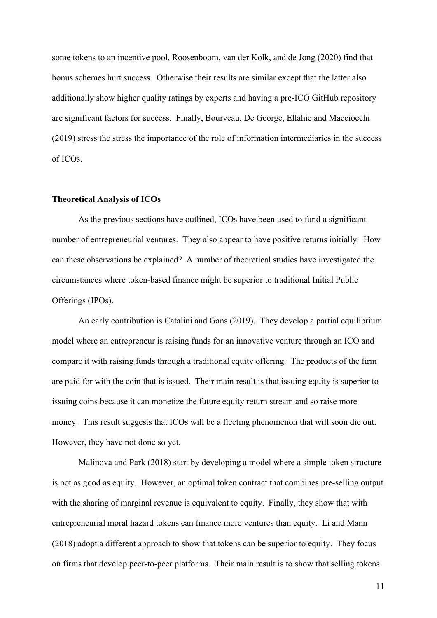some tokens to an incentive pool, Roosenboom, van der Kolk, and de Jong (2020) find that bonus schemes hurt success. Otherwise their results are similar except that the latter also additionally show higher quality ratings by experts and having a pre-ICO GitHub repository are significant factors for success. Finally, Bourveau, De George, Ellahie and Macciocchi (2019) stress the stress the importance of the role of information intermediaries in the success of ICOs.

#### **Theoretical Analysis of ICOs**

As the previous sections have outlined, ICOs have been used to fund a significant number of entrepreneurial ventures. They also appear to have positive returns initially. How can these observations be explained? A number of theoretical studies have investigated the circumstances where token-based finance might be superior to traditional Initial Public Offerings (IPOs).

An early contribution is Catalini and Gans (2019). They develop a partial equilibrium model where an entrepreneur is raising funds for an innovative venture through an ICO and compare it with raising funds through a traditional equity offering. The products of the firm are paid for with the coin that is issued. Their main result is that issuing equity is superior to issuing coins because it can monetize the future equity return stream and so raise more money. This result suggests that ICOs will be a fleeting phenomenon that will soon die out. However, they have not done so yet.

 Malinova and Park (2018) start by developing a model where a simple token structure is not as good as equity. However, an optimal token contract that combines pre-selling output with the sharing of marginal revenue is equivalent to equity. Finally, they show that with entrepreneurial moral hazard tokens can finance more ventures than equity. Li and Mann (2018) adopt a different approach to show that tokens can be superior to equity. They focus on firms that develop peer-to-peer platforms. Their main result is to show that selling tokens

11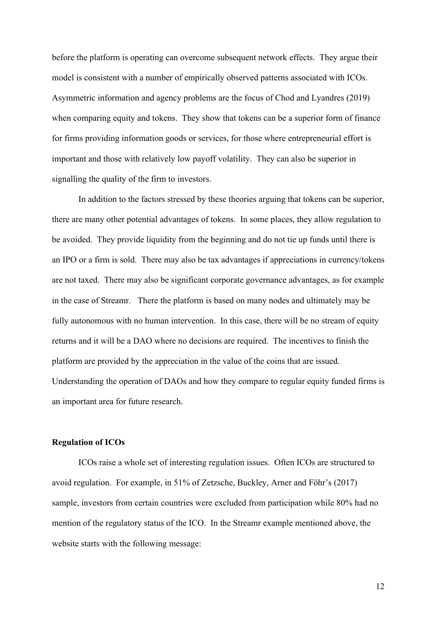before the platform is operating can overcome subsequent network effects. They argue their model is consistent with a number of empirically observed patterns associated with ICOs. Asymmetric information and agency problems are the focus of Chod and Lyandres (2019) when comparing equity and tokens. They show that tokens can be a superior form of finance for firms providing information goods or services, for those where entrepreneurial effort is important and those with relatively low payoff volatility. They can also be superior in signalling the quality of the firm to investors.

 In addition to the factors stressed by these theories arguing that tokens can be superior, there are many other potential advantages of tokens. In some places, they allow regulation to be avoided. They provide liquidity from the beginning and do not tie up funds until there is an IPO or a firm is sold. There may also be tax advantages if appreciations in currency/tokens are not taxed. There may also be significant corporate governance advantages, as for example in the case of Streamr. There the platform is based on many nodes and ultimately may be fully autonomous with no human intervention. In this case, there will be no stream of equity returns and it will be a DAO where no decisions are required. The incentives to finish the platform are provided by the appreciation in the value of the coins that are issued. Understanding the operation of DAOs and how they compare to regular equity funded firms is an important area for future research.

#### **Regulation of ICOs**

 ICOs raise a whole set of interesting regulation issues. Often ICOs are structured to avoid regulation. For example, in 51% of Zetzsche, Buckley, Arner and Föhr's (2017) sample, investors from certain countries were excluded from participation while 80% had no mention of the regulatory status of the ICO. In the Streamr example mentioned above, the website starts with the following message: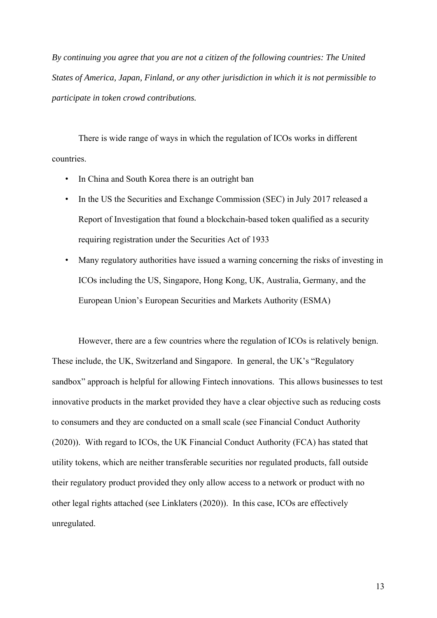*By continuing you agree that you are not a citizen of the following countries: The United States of America, Japan, Finland, or any other jurisdiction in which it is not permissible to participate in token crowd contributions.* 

There is wide range of ways in which the regulation of ICOs works in different countries.

- In China and South Korea there is an outright ban
- In the US the Securities and Exchange Commission (SEC) in July 2017 released a Report of Investigation that found a blockchain-based token qualified as a security requiring registration under the Securities Act of 1933
- Many regulatory authorities have issued a warning concerning the risks of investing in ICOs including the US, Singapore, Hong Kong, UK, Australia, Germany, and the European Union's European Securities and Markets Authority (ESMA)

However, there are a few countries where the regulation of ICOs is relatively benign. These include, the UK, Switzerland and Singapore. In general, the UK's "Regulatory sandbox" approach is helpful for allowing Fintech innovations. This allows businesses to test innovative products in the market provided they have a clear objective such as reducing costs to consumers and they are conducted on a small scale (see Financial Conduct Authority (2020)). With regard to ICOs, the UK Financial Conduct Authority (FCA) has stated that utility tokens, which are neither transferable securities nor regulated products, fall outside their regulatory product provided they only allow access to a network or product with no other legal rights attached (see Linklaters (2020)). In this case, ICOs are effectively unregulated.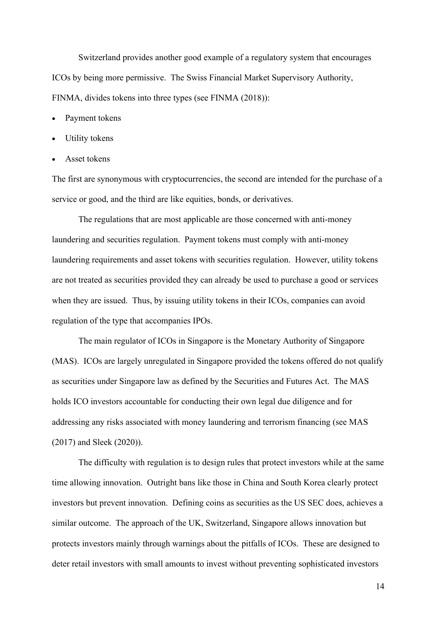Switzerland provides another good example of a regulatory system that encourages ICOs by being more permissive. The Swiss Financial Market Supervisory Authority, FINMA, divides tokens into three types (see FINMA (2018)):

- Payment tokens
- Utility tokens
- Asset tokens

The first are synonymous with cryptocurrencies, the second are intended for the purchase of a service or good, and the third are like equities, bonds, or derivatives.

 The regulations that are most applicable are those concerned with anti-money laundering and securities regulation. Payment tokens must comply with anti-money laundering requirements and asset tokens with securities regulation. However, utility tokens are not treated as securities provided they can already be used to purchase a good or services when they are issued. Thus, by issuing utility tokens in their ICOs, companies can avoid regulation of the type that accompanies IPOs.

The main regulator of ICOs in Singapore is the Monetary Authority of Singapore (MAS). ICOs are largely unregulated in Singapore provided the tokens offered do not qualify as securities under Singapore law as defined by the Securities and Futures Act. The MAS holds ICO investors accountable for conducting their own legal due diligence and for addressing any risks associated with money laundering and terrorism financing (see MAS (2017) and Sleek (2020)).

The difficulty with regulation is to design rules that protect investors while at the same time allowing innovation. Outright bans like those in China and South Korea clearly protect investors but prevent innovation. Defining coins as securities as the US SEC does, achieves a similar outcome. The approach of the UK, Switzerland, Singapore allows innovation but protects investors mainly through warnings about the pitfalls of ICOs. These are designed to deter retail investors with small amounts to invest without preventing sophisticated investors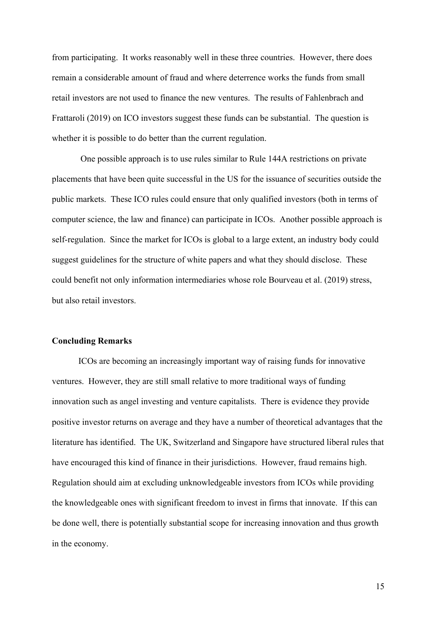from participating. It works reasonably well in these three countries. However, there does remain a considerable amount of fraud and where deterrence works the funds from small retail investors are not used to finance the new ventures. The results of Fahlenbrach and Frattaroli (2019) on ICO investors suggest these funds can be substantial. The question is whether it is possible to do better than the current regulation.

 One possible approach is to use rules similar to Rule 144A restrictions on private placements that have been quite successful in the US for the issuance of securities outside the public markets. These ICO rules could ensure that only qualified investors (both in terms of computer science, the law and finance) can participate in ICOs. Another possible approach is self-regulation. Since the market for ICOs is global to a large extent, an industry body could suggest guidelines for the structure of white papers and what they should disclose. These could benefit not only information intermediaries whose role Bourveau et al. (2019) stress, but also retail investors.

# **Concluding Remarks**

ICOs are becoming an increasingly important way of raising funds for innovative ventures. However, they are still small relative to more traditional ways of funding innovation such as angel investing and venture capitalists. There is evidence they provide positive investor returns on average and they have a number of theoretical advantages that the literature has identified. The UK, Switzerland and Singapore have structured liberal rules that have encouraged this kind of finance in their jurisdictions. However, fraud remains high. Regulation should aim at excluding unknowledgeable investors from ICOs while providing the knowledgeable ones with significant freedom to invest in firms that innovate. If this can be done well, there is potentially substantial scope for increasing innovation and thus growth in the economy.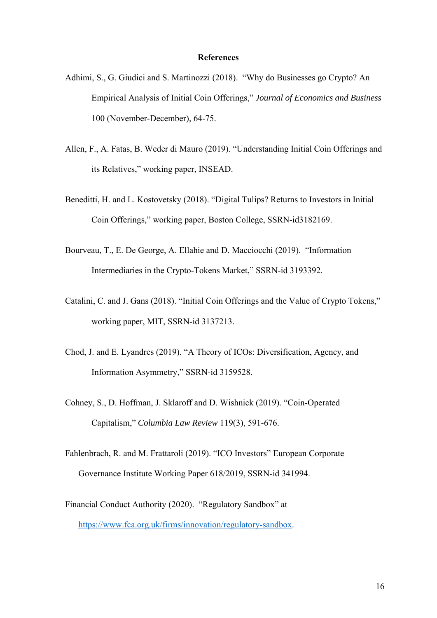#### **References**

- Adhimi, S., G. Giudici and S. Martinozzi (2018). "Why do Businesses go Crypto? An Empirical Analysis of Initial Coin Offerings," *Journal of Economics and Business* 100 (November-December), 64-75.
- Allen, F., A. Fatas, B. Weder di Mauro (2019). "Understanding Initial Coin Offerings and its Relatives," working paper, INSEAD.
- Beneditti, H. and L. Kostovetsky (2018). "Digital Tulips? Returns to Investors in Initial Coin Offerings," working paper, Boston College, SSRN-id3182169.
- Bourveau, T., E. De George, A. Ellahie and D. Macciocchi (2019). "Information Intermediaries in the Crypto-Tokens Market," SSRN-id 3193392.
- Catalini, C. and J. Gans (2018). "Initial Coin Offerings and the Value of Crypto Tokens," working paper, MIT, SSRN-id 3137213.
- Chod, J. and E. Lyandres (2019). "A Theory of ICOs: Diversification, Agency, and Information Asymmetry," SSRN-id 3159528.
- Cohney, S., D. Hoffman, J. Sklaroff and D. Wishnick (2019). "Coin-Operated Capitalism," *Columbia Law Review* 119(3), 591-676.
- Fahlenbrach, R. and M. Frattaroli (2019). "ICO Investors" European Corporate Governance Institute Working Paper 618/2019, SSRN-id 341994.
- Financial Conduct Authority (2020). "Regulatory Sandbox" at https://www.fca.org.uk/firms/innovation/regulatory-sandbox.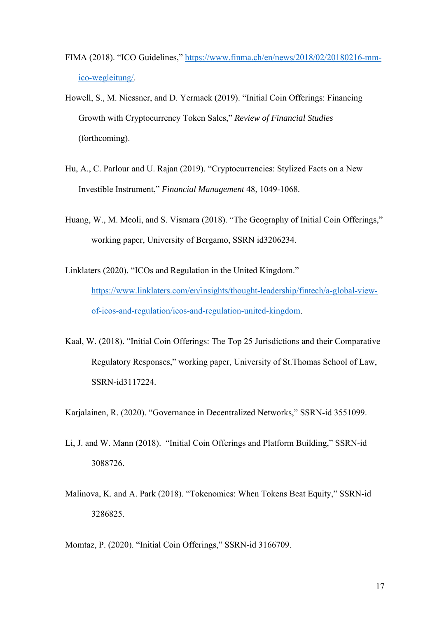- FIMA (2018). "ICO Guidelines," https://www.finma.ch/en/news/2018/02/20180216-mmico-wegleitung/.
- Howell, S., M. Niessner, and D. Yermack (2019). "Initial Coin Offerings: Financing Growth with Cryptocurrency Token Sales," *Review of Financial Studies*  (forthcoming).
- Hu, A., C. Parlour and U. Rajan (2019). "Cryptocurrencies: Stylized Facts on a New Investible Instrument," *Financial Management* 48, 1049-1068.
- Huang, W., M. Meoli, and S. Vismara (2018). "The Geography of Initial Coin Offerings," working paper, University of Bergamo, SSRN id3206234.
- Linklaters (2020). "ICOs and Regulation in the United Kingdom." https://www.linklaters.com/en/insights/thought-leadership/fintech/a-global-viewof-icos-and-regulation/icos-and-regulation-united-kingdom.
- Kaal, W. (2018). "Initial Coin Offerings: The Top 25 Jurisdictions and their Comparative Regulatory Responses," working paper, University of St.Thomas School of Law, SSRN-id3117224.

Karjalainen, R. (2020). "Governance in Decentralized Networks," SSRN-id 3551099.

- Li, J. and W. Mann (2018). "Initial Coin Offerings and Platform Building," SSRN-id 3088726.
- Malinova, K. and A. Park (2018). "Tokenomics: When Tokens Beat Equity," SSRN-id 3286825.

Momtaz, P. (2020). "Initial Coin Offerings," SSRN-id 3166709.